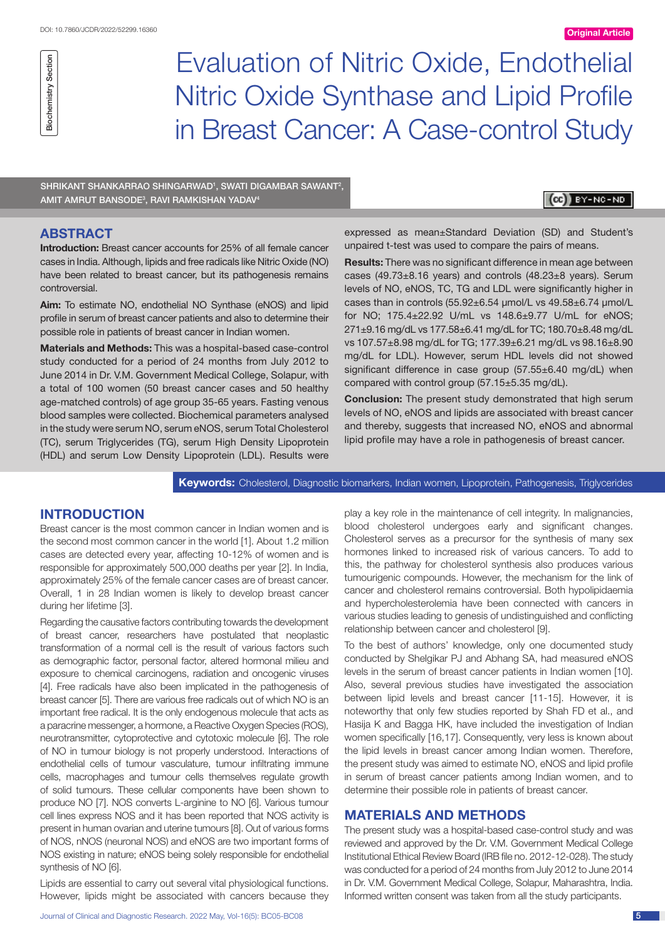# Evaluation of Nitric Oxide, Endothelial Nitric Oxide Synthase and Lipid Profile in Breast Cancer: A Case-control Study

SHRIKANT SHANKARRAO SHINGARWAD<sup>1</sup>, SWATI DIGAMBAR SAWANT<sup>2</sup>, Amit Amrut Bansode3 , Ravi Ramkishan Yadav4

# $(\mathbf{cc})$  BY-NC-ND

# **ABSTRACT**

Biochemistry Section

Biochemistry Section

**Introduction:** Breast cancer accounts for 25% of all female cancer cases in India. Although, lipids and free radicals like Nitric Oxide (NO) have been related to breast cancer, but its pathogenesis remains controversial.

**Aim:** To estimate NO, endothelial NO Synthase (eNOS) and lipid profile in serum of breast cancer patients and also to determine their possible role in patients of breast cancer in Indian women.

**Materials and Methods:** This was a hospital-based case-control study conducted for a period of 24 months from July 2012 to June 2014 in Dr. V.M. Government Medical College, Solapur, with a total of 100 women (50 breast cancer cases and 50 healthy age-matched controls) of age group 35-65 years. Fasting venous blood samples were collected. Biochemical parameters analysed in the study were serum NO, serum eNOS, serum Total Cholesterol (TC), serum Triglycerides (TG), serum High Density Lipoprotein (HDL) and serum Low Density Lipoprotein (LDL). Results were

expressed as mean±Standard Deviation (SD) and Student's unpaired t-test was used to compare the pairs of means.

**Results:** There was no significant difference in mean age between cases (49.73±8.16 years) and controls (48.23±8 years). Serum levels of NO, eNOS, TC, TG and LDL were significantly higher in cases than in controls (55.92±6.54 µmol/L vs 49.58±6.74 µmol/L for NO; 175.4±22.92 U/mL vs 148.6±9.77 U/mL for eNOS; 271±9.16 mg/dL vs 177.58±6.41 mg/dL for TC; 180.70±8.48 mg/dL vs 107.57±8.98 mg/dL for TG; 177.39±6.21 mg/dL vs 98.16±8.90 mg/dL for LDL). However, serum HDL levels did not showed significant difference in case group (57.55±6.40 mg/dL) when compared with control group (57.15±5.35 mg/dL).

**Conclusion:** The present study demonstrated that high serum levels of NO, eNOS and lipids are associated with breast cancer and thereby, suggests that increased NO, eNOS and abnormal lipid profile may have a role in pathogenesis of breast cancer.

## **Keywords:** Cholesterol, Diagnostic biomarkers, Indian women, Lipoprotein, Pathogenesis, Triglycerides

# **INTRODUCTION**

Breast cancer is the most common cancer in Indian women and is the second most common cancer in the world [1]. About 1.2 million cases are detected every year, affecting 10-12% of women and is responsible for approximately 500,000 deaths per year [2]. In India, approximately 25% of the female cancer cases are of breast cancer. Overall, 1 in 28 Indian women is likely to develop breast cancer during her lifetime [3].

Regarding the causative factors contributing towards the development of breast cancer, researchers have postulated that neoplastic transformation of a normal cell is the result of various factors such as demographic factor, personal factor, altered hormonal milieu and exposure to chemical carcinogens, radiation and oncogenic viruses [4]. Free radicals have also been implicated in the pathogenesis of breast cancer [5]. There are various free radicals out of which NO is an important free radical. It is the only endogenous molecule that acts as a paracrine messenger, a hormone, a Reactive Oxygen Species (ROS), neurotransmitter, cytoprotective and cytotoxic molecule [6]. The role of NO in tumour biology is not properly understood. Interactions of endothelial cells of tumour vasculature, tumour infiltrating immune cells, macrophages and tumour cells themselves regulate growth of solid tumours. These cellular components have been shown to produce NO [7]. NOS converts L-arginine to NO [6]. Various tumour cell lines express NOS and it has been reported that NOS activity is present in human ovarian and uterine tumours [8]. Out of various forms of NOS, nNOS (neuronal NOS) and eNOS are two important forms of NOS existing in nature; eNOS being solely responsible for endothelial synthesis of NO [6].

Lipids are essential to carry out several vital physiological functions. However, lipids might be associated with cancers because they

Journal of Clinical and Diagnostic Research. 2022 May, Vol-16(5): BC05-BC08 5

play a key role in the maintenance of cell integrity. In malignancies, blood cholesterol undergoes early and significant changes. Cholesterol serves as a precursor for the synthesis of many sex hormones linked to increased risk of various cancers. To add to this, the pathway for cholesterol synthesis also produces various tumourigenic compounds. However, the mechanism for the link of cancer and cholesterol remains controversial. Both hypolipidaemia and hypercholesterolemia have been connected with cancers in various studies leading to genesis of undistinguished and conflicting relationship between cancer and cholesterol [9].

To the best of authors' knowledge, only one documented study conducted by Shelgikar PJ and Abhang SA, had measured eNOS levels in the serum of breast cancer patients in Indian women [10]. Also, several previous studies have investigated the association between lipid levels and breast cancer [11-15]. However, it is noteworthy that only few studies reported by Shah FD et al., and Hasija K and Bagga HK, have included the investigation of Indian women specifically [16,17]. Consequently, very less is known about the lipid levels in breast cancer among Indian women. Therefore, the present study was aimed to estimate NO, eNOS and lipid profile in serum of breast cancer patients among Indian women, and to determine their possible role in patients of breast cancer.

# **MATERIALS AND METHODS**

The present study was a hospital-based case-control study and was reviewed and approved by the Dr. V.M. Government Medical College Institutional Ethical Review Board (IRB file no. 2012-12-028). The study was conducted for a period of 24 months from July 2012 to June 2014 in Dr. V.M. Government Medical College, Solapur, Maharashtra, India. Informed written consent was taken from all the study participants.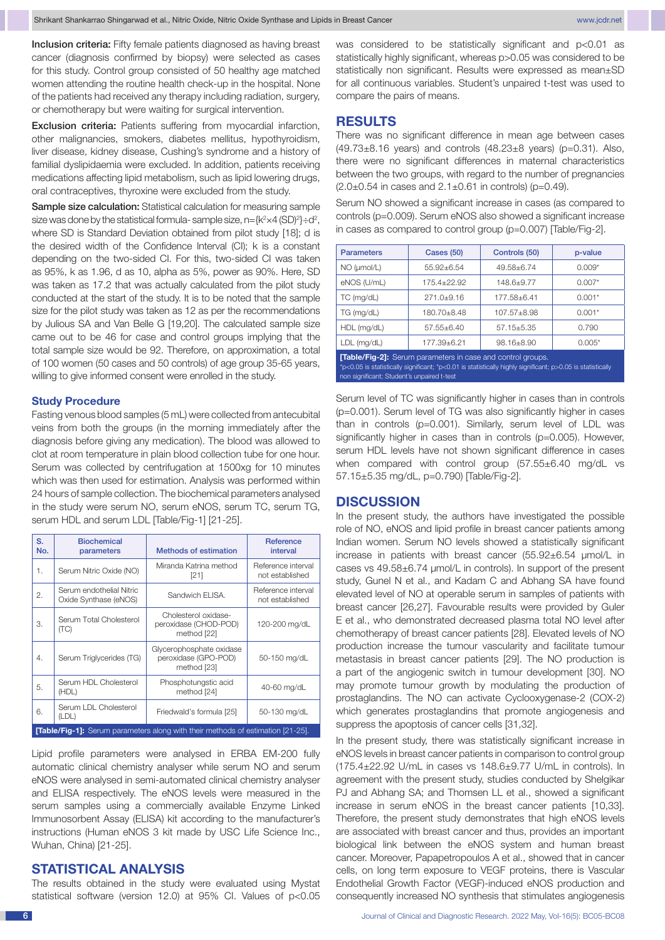Inclusion criteria: Fifty female patients diagnosed as having breast cancer (diagnosis confirmed by biopsy) were selected as cases for this study. Control group consisted of 50 healthy age matched women attending the routine health check-up in the hospital. None of the patients had received any therapy including radiation, surgery, or chemotherapy but were waiting for surgical intervention.

Exclusion criteria: Patients suffering from myocardial infarction, other malignancies, smokers, diabetes mellitus, hypothyroidism, liver disease, kidney disease, Cushing's syndrome and a history of familial dyslipidaemia were excluded. In addition, patients receiving medications affecting lipid metabolism, such as lipid lowering drugs, oral contraceptives, thyroxine were excluded from the study.

Sample size calculation: Statistical calculation for measuring sample size was done by the statistical formula-sample size,  $n = \{k^2 \times 4 \text{ (SD)}^2\} \div d^2$ , where SD is Standard Deviation obtained from pilot study [18]; d is the desired width of the Confidence Interval (CI); k is a constant depending on the two-sided CI. For this, two-sided CI was taken as 95%, k as 1.96, d as 10, alpha as 5%, power as 90%. Here, SD was taken as 17.2 that was actually calculated from the pilot study conducted at the start of the study. It is to be noted that the sample size for the pilot study was taken as 12 as per the recommendations by Julious SA and Van Belle G [19,20]. The calculated sample size came out to be 46 for case and control groups implying that the total sample size would be 92. Therefore, on approximation, a total of 100 women (50 cases and 50 controls) of age group 35-65 years, willing to give informed consent were enrolled in the study.

#### **Study Procedure**

Fasting venous blood samples (5 mL) were collected from antecubital veins from both the groups (in the morning immediately after the diagnosis before giving any medication). The blood was allowed to clot at room temperature in plain blood collection tube for one hour. Serum was collected by centrifugation at 1500xg for 10 minutes which was then used for estimation. Analysis was performed within 24 hours of sample collection. The biochemical parameters analysed in the study were serum NO, serum eNOS, serum TC, serum TG, serum HDL and serum LDL [Table/Fig-1] [21-25].

| S.<br>No.                                                                              | <b>Biochemical</b><br>parameters                  | <b>Methods of estimation</b>                                    | Reference<br>interval                 |  |
|----------------------------------------------------------------------------------------|---------------------------------------------------|-----------------------------------------------------------------|---------------------------------------|--|
| 1.                                                                                     | Serum Nitric Oxide (NO)                           | Miranda Katrina method<br>[21]                                  | Reference interval<br>not established |  |
| 2.                                                                                     | Serum endothelial Nitric<br>Oxide Synthase (eNOS) | Sandwich ELISA.                                                 | Reference interval<br>not established |  |
| 3.                                                                                     | Serum Total Cholesterol<br>(TC)                   | Cholesterol oxidase-<br>peroxidase (CHOD-POD)<br>method [22]    | 120-200 mg/dL                         |  |
| 4.                                                                                     | Serum Triglycerides (TG)                          | Glycerophosphate oxidase<br>peroxidase (GPO-POD)<br>method [23] | 50-150 mg/dL                          |  |
| 5.                                                                                     | Serum HDL Cholesterol<br>(HDL)                    | Phosphotungstic acid<br>method [24]                             | 40-60 mg/dL                           |  |
| 6.                                                                                     | Serum LDL Cholesterol<br>(LDL)                    | Friedwald's formula [25]                                        | 50-130 mg/dL                          |  |
| <b>[Table/Fig-1]:</b> Serum parameters along with their methods of estimation [21-25]. |                                                   |                                                                 |                                       |  |

Lipid profile parameters were analysed in ERBA EM-200 fully automatic clinical chemistry analyser while serum NO and serum eNOS were analysed in semi-automated clinical chemistry analyser and ELISA respectively. The eNOS levels were measured in the serum samples using a commercially available Enzyme Linked Immunosorbent Assay (ELISA) kit according to the manufacturer's instructions (Human eNOS 3 kit made by USC Life Science Inc., Wuhan, China) [21-25].

# **STATISTICAL ANALYSIS**

The results obtained in the study were evaluated using Mystat statistical software (version 12.0) at 95% CI. Values of p<0.05 was considered to be statistically significant and p<0.01 as statistically highly significant, whereas p>0.05 was considered to be statistically non significant. Results were expressed as mean±SD for all continuous variables. Student's unpaired t-test was used to compare the pairs of means.

#### **RESULTS**

There was no significant difference in mean age between cases  $(49.73\pm8.16$  years) and controls  $(48.23\pm8$  years) (p=0.31). Also, there were no significant differences in maternal characteristics between the two groups, with regard to the number of pregnancies  $(2.0 \pm 0.54$  in cases and  $2.1 \pm 0.61$  in controls) (p=0.49).

Serum NO showed a significant increase in cases (as compared to controls (p=0.009). Serum eNOS also showed a significant increase in cases as compared to control group (p=0,007) [Table/Fig-2].

| <b>Parameters</b>                                                                                                                                                                                                              | <b>Cases (50)</b> | Controls (50)   | p-value  |  |  |
|--------------------------------------------------------------------------------------------------------------------------------------------------------------------------------------------------------------------------------|-------------------|-----------------|----------|--|--|
| $NO$ ( $µmol/L$ )                                                                                                                                                                                                              | $55.92 + 6.54$    | $49.58 + 6.74$  | $0.009*$ |  |  |
| eNOS (U/mL)                                                                                                                                                                                                                    | 175.4+22.92       | $148.6 + 9.77$  | $0.007*$ |  |  |
| TC (mg/dL)                                                                                                                                                                                                                     | $271.0 + 9.16$    | 177.58+6.41     | $0.001*$ |  |  |
| TG (mg/dL)                                                                                                                                                                                                                     | 180.70+8.48       | $107.57 + 8.98$ | $0.001*$ |  |  |
| $HDL$ (mg/dL)                                                                                                                                                                                                                  | $57.55 + 6.40$    | $57.15 + 5.35$  | 0.790    |  |  |
| $LDL$ (mg/dL)                                                                                                                                                                                                                  | 177.39+6.21       | $98.16 + 8.90$  | $0.005*$ |  |  |
| <b>[Table/Fig-2]:</b> Serum parameters in case and control groups.<br>*p<0.05 is statistically significant; *p<0.01 is statistically highly significant; p>0.05 is statistically<br>non significant; Student's unpaired t-test |                   |                 |          |  |  |

Serum level of TC was significantly higher in cases than in controls (p=0.001). Serum level of TG was also significantly higher in cases than in controls (p=0.001). Similarly, serum level of LDL was significantly higher in cases than in controls (p=0.005). However, serum HDL levels have not shown significant difference in cases when compared with control group (57.55±6.40 mg/dL vs 57.15±5.35 mg/dL, p=0.790) [Table/Fig-2].

### **DISCUSSION**

In the present study, the authors have investigated the possible role of NO, eNOS and lipid profile in breast cancer patients among Indian women. Serum NO levels showed a statistically significant increase in patients with breast cancer (55.92±6.54 µmol/L in cases vs 49.58±6.74 µmol/L in controls). In support of the present study, Gunel N et al., and Kadam C and Abhang SA have found elevated level of NO at operable serum in samples of patients with breast cancer [26,27]. Favourable results were provided by Guler E et al., who demonstrated decreased plasma total NO level after chemotherapy of breast cancer patients [28]. Elevated levels of NO production increase the tumour vascularity and facilitate tumour metastasis in breast cancer patients [29]. The NO production is a part of the angiogenic switch in tumour development [30]. NO may promote tumour growth by modulating the production of prostaglandins. The NO can activate Cyclooxygenase-2 (COX-2) which generates prostaglandins that promote angiogenesis and suppress the apoptosis of cancer cells [31,32].

In the present study, there was statistically significant increase in eNOS levels in breast cancer patients in comparison to control group (175.4±22.92 U/mL in cases vs 148.6±9.77 U/mL in controls). In agreement with the present study, studies conducted by Shelgikar PJ and Abhang SA; and Thomsen LL et al., showed a significant increase in serum eNOS in the breast cancer patients [10,33]. Therefore, the present study demonstrates that high eNOS levels are associated with breast cancer and thus, provides an important biological link between the eNOS system and human breast cancer. Moreover, Papapetropoulos A et al., showed that in cancer cells, on long term exposure to VEGF proteins, there is Vascular Endothelial Growth Factor (VEGF)-induced eNOS production and consequently increased NO synthesis that stimulates angiogenesis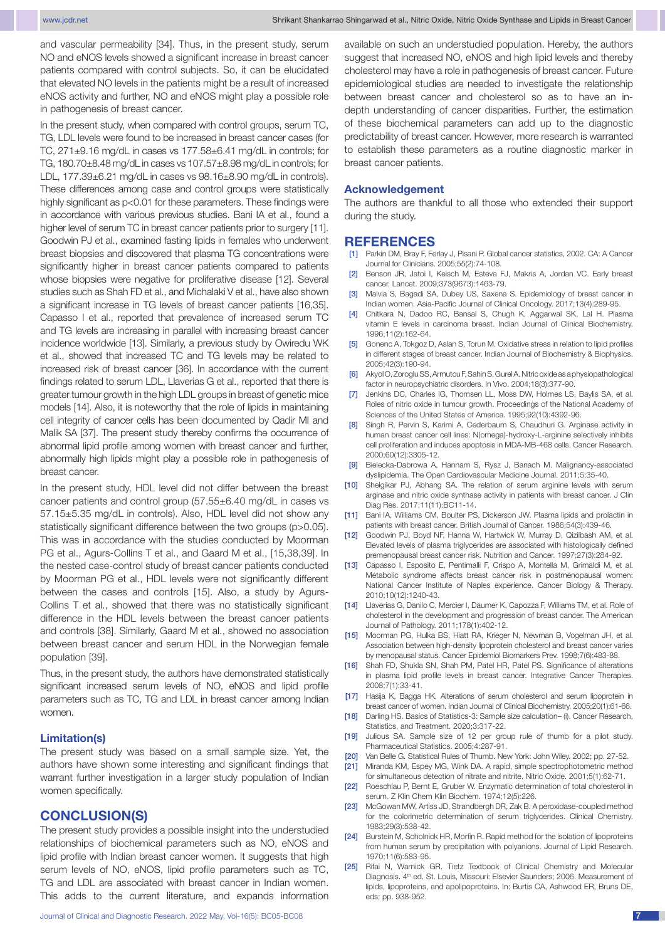and vascular permeability [34]. Thus, in the present study, serum NO and eNOS levels showed a significant increase in breast cancer patients compared with control subjects. So, it can be elucidated that elevated NO levels in the patients might be a result of increased eNOS activity and further, NO and eNOS might play a possible role in pathogenesis of breast cancer.

In the present study, when compared with control groups, serum TC, TG, LDL levels were found to be increased in breast cancer cases (for TC, 271±9.16 mg/dL in cases vs 177.58±6.41 mg/dL in controls; for TG, 180.70±8.48 mg/dL in cases vs 107.57±8.98 mg/dL in controls; for LDL, 177.39±6.21 mg/dL in cases vs 98.16±8.90 mg/dL in controls). These differences among case and control groups were statistically highly significant as p<0.01 for these parameters. These findings were in accordance with various previous studies. Bani IA et al., found a higher level of serum TC in breast cancer patients prior to surgery [11]. Goodwin PJ et al., examined fasting lipids in females who underwent breast biopsies and discovered that plasma TG concentrations were significantly higher in breast cancer patients compared to patients whose biopsies were negative for proliferative disease [12]. Several studies such as Shah FD et al., and Michalaki V et al., have also shown a significant increase in TG levels of breast cancer patients [16,35]. Capasso I et al., reported that prevalence of increased serum TC and TG levels are increasing in parallel with increasing breast cancer incidence worldwide [13]. Similarly, a previous study by Owiredu WK et al., showed that increased TC and TG levels may be related to increased risk of breast cancer [36]. In accordance with the current findings related to serum LDL, Llaverias G et al., reported that there is greater tumour growth in the high LDL groups in breast of genetic mice models [14]. Also, it is noteworthy that the role of lipids in maintaining cell integrity of cancer cells has been documented by Qadir MI and Malik SA [37]. The present study thereby confirms the occurrence of abnormal lipid profile among women with breast cancer and further, abnormally high lipids might play a possible role in pathogenesis of breast cancer.

In the present study, HDL level did not differ between the breast cancer patients and control group (57.55±6.40 mg/dL in cases vs 57.15±5.35 mg/dL in controls). Also, HDL level did not show any statistically significant difference between the two groups (p>0.05). This was in accordance with the studies conducted by Moorman PG et al., Agurs-Collins T et al., and Gaard M et al., [15,38,39]. In the nested case-control study of breast cancer patients conducted by Moorman PG et al., HDL levels were not significantly different between the cases and controls [15]. Also, a study by Agurs-Collins T et al., showed that there was no statistically significant difference in the HDL levels between the breast cancer patients and controls [38]. Similarly, Gaard M et al., showed no association between breast cancer and serum HDL in the Norwegian female population [39].

Thus, in the present study, the authors have demonstrated statistically significant increased serum levels of NO, eNOS and lipid profile parameters such as TC, TG and LDL in breast cancer among Indian women.

#### **Limitation(s)**

The present study was based on a small sample size. Yet, the authors have shown some interesting and significant findings that warrant further investigation in a larger study population of Indian women specifically.

# **CONCLUSION(S)**

The present study provides a possible insight into the understudied relationships of biochemical parameters such as NO, eNOS and lipid profile with Indian breast cancer women. It suggests that high serum levels of NO, eNOS, lipid profile parameters such as TC, TG and LDL are associated with breast cancer in Indian women. This adds to the current literature, and expands information

Journal of Clinical and Diagnostic Research. 2022 May, Vol-16(5): BC05-BC08 7

available on such an understudied population. Hereby, the authors suggest that increased NO, eNOS and high lipid levels and thereby cholesterol may have a role in pathogenesis of breast cancer. Future epidemiological studies are needed to investigate the relationship between breast cancer and cholesterol so as to have an indepth understanding of cancer disparities. Further, the estimation of these biochemical parameters can add up to the diagnostic predictability of breast cancer. However, more research is warranted to establish these parameters as a routine diagnostic marker in breast cancer patients.

#### **Acknowledgement**

The authors are thankful to all those who extended their support during the study.

#### **REFERENCES**

- [1] Parkin DM, Bray F, Ferlay J, Pisani P. Global cancer statistics, 2002. CA: A Cancer Journal for Clinicians. 2005;55(2):74-108.
- [2] Benson JR, Jatoi I, Keisch M, Esteva FJ, Makris A, Jordan VC. Early breast cancer. Lancet. 2009;373(9673):1463-79.
- [3] Malvia S, Bagadi SA, Dubey US, Saxena S. Epidemiology of breast cancer in Indian women. Asia-Pacific Journal of Clinical Oncology. 2017;13(4):289-95.
- [4] Chitkara N, Dadoo RC, Bansal S, Chugh K, Aggarwal SK, Lal H. Plasma vitamin E levels in carcinoma breast. Indian Journal of Clinical Biochemistry. 1996;11(2):162-64.
- [5] Gonenc A, Tokgoz D, Aslan S, Torun M. Oxidative stress in relation to lipid profiles in different stages of breast cancer. Indian Journal of Biochemistry & Biophysics. 2005;42(3):190-94.
- [6] Akyol O, Zoroglu SS, Armutcu F, Sahin S, Gurel A. Nitric oxide as a physiopathological factor in neuropsychiatric disorders. In Vivo. 2004;18(3):377-90.
- [7] Jenkins DC, Charles IG, Thomsen LL, Moss DW, Holmes LS, Baylis SA, et al. Roles of nitric oxide in tumour growth. Proceedings of the National Academy of Sciences of the United States of America. 1995;92(10):4392-96.
- [8] Singh R, Pervin S, Karimi A, Cederbaum S, Chaudhuri G. Arginase activity in human breast cancer cell lines: N(omega)-hydroxy-L-arginine selectively inhibits cell proliferation and induces apoptosis in MDA-MB-468 cells. Cancer Research. 2000;60(12):3305-12.
- [9] Bielecka-Dabrowa A, Hannam S, Rysz J, Banach M. Malignancy-associated dyslipidemia. The Open Cardiovascular Medicine Journal. 2011;5:35-40.
- [10] Shelgikar PJ, Abhang SA. The relation of serum arginine levels with serum arginase and nitric oxide synthase activity in patients with breast cancer. J Clin Diag Res. 2017;11(11):BC11-14.
- [11] Bani IA, Williams CM, Boulter PS, Dickerson JW. Plasma lipids and prolactin in patients with breast cancer. British Journal of Cancer. 1986;54(3):439-46.
- [12] Goodwin PJ, Boyd NF, Hanna W, Hartwick W, Murray D, Qizilbash AM, et al. Elevated levels of plasma triglycerides are associated with histologically defined premenopausal breast cancer risk. Nutrition and Cancer. 1997;27(3):284-92.
- [13] Capasso I, Esposito E, Pentimalli F, Crispo A, Montella M, Grimaldi M, et al. Metabolic syndrome affects breast cancer risk in postmenopausal women: National Cancer Institute of Naples experience. Cancer Biology & Therapy. 2010;10(12):1240-43.
- [14] Llaverias G, Danilo C, Mercier I, Daumer K, Capozza F, Williams TM, et al. Role of cholesterol in the development and progression of breast cancer. The American Journal of Pathology. 2011;178(1):402-12.
- [15] Moorman PG, Hulka BS, Hiatt RA, Krieger N, Newman B, Vogelman JH, et al. Association between high-density lipoprotein cholesterol and breast cancer varies by menopausal status. Cancer Epidemiol Biomarkers Prev. 1998;7(6):483-88.
- [16] Shah FD, Shukla SN, Shah PM, Patel HR, Patel PS. Significance of alterations in plasma lipid profile levels in breast cancer. Integrative Cancer Therapies. 2008;7(1):33-41.
- [17] Hasija K, Bagga HK. Alterations of serum cholesterol and serum lipoprotein in breast cancer of women. Indian Journal of Clinical Biochemistry. 2005;20(1):61-66.
- [18] Darling HS. Basics of Statistics-3: Sample size calculation– (i). Cancer Research, Statistics, and Treatment. 2020;3:317-22.
- [19] Julious SA. Sample size of 12 per group rule of thumb for a pilot study. Pharmaceutical Statistics. 2005;4:287-91.
- [20] Van Belle G. Statistical Rules of Thumb. New York: John Wiley. 2002; pp. 27-52.
- [21] Miranda KM, Espey MG, Wink DA. A rapid, simple spectrophotometric method for simultaneous detection of nitrate and nitrite. Nitric Oxide. 2001;5(1):62-71.
- [22] Roeschlau P, Bernt E, Gruber W. Enzymatic determination of total cholesterol in serum. Z Klin Chem Klin Biochem. 1974;12(5):226.
- [23] McGowan MW, Artiss JD, Strandbergh DR, Zak B. A peroxidase-coupled method for the colorimetric determination of serum triglycerides. Clinical Chemistry. 1983;29(3):538-42.
- [24] Burstein M, Scholnick HR, Morfin R. Rapid method for the isolation of lipoproteins from human serum by precipitation with polyanions. Journal of Lipid Research. 1970;11(6):583-95.
- [25] Rifai N, Warnick GR. Tietz Textbook of Clinical Chemistry and Molecular Diagnosis, 4<sup>th</sup> ed. St. Louis, Missouri: Elsevier Saunders: 2006. Measurement of lipids, lipoproteins, and apolipoproteins. In: Burtis CA, Ashwood ER, Bruns DE, eds; pp. 938-952.